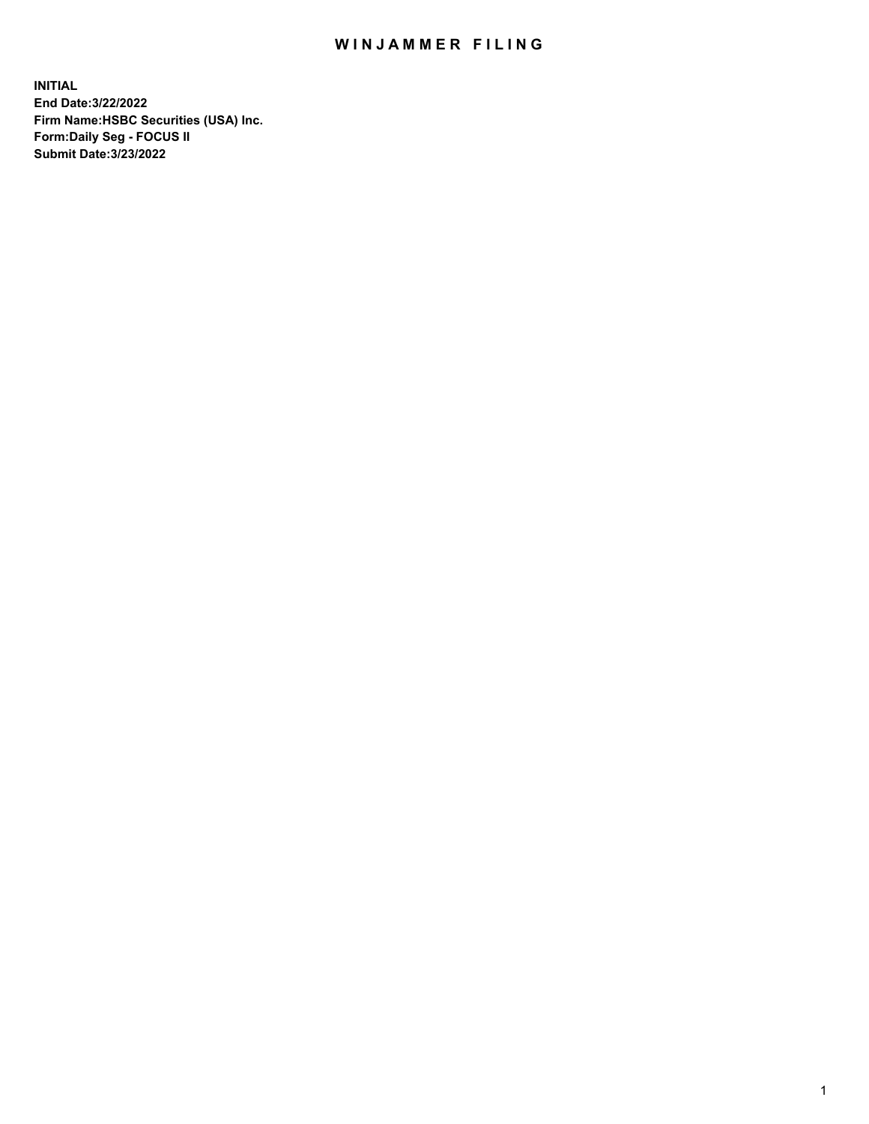## WIN JAMMER FILING

**INITIAL End Date:3/22/2022 Firm Name:HSBC Securities (USA) Inc. Form:Daily Seg - FOCUS II Submit Date:3/23/2022**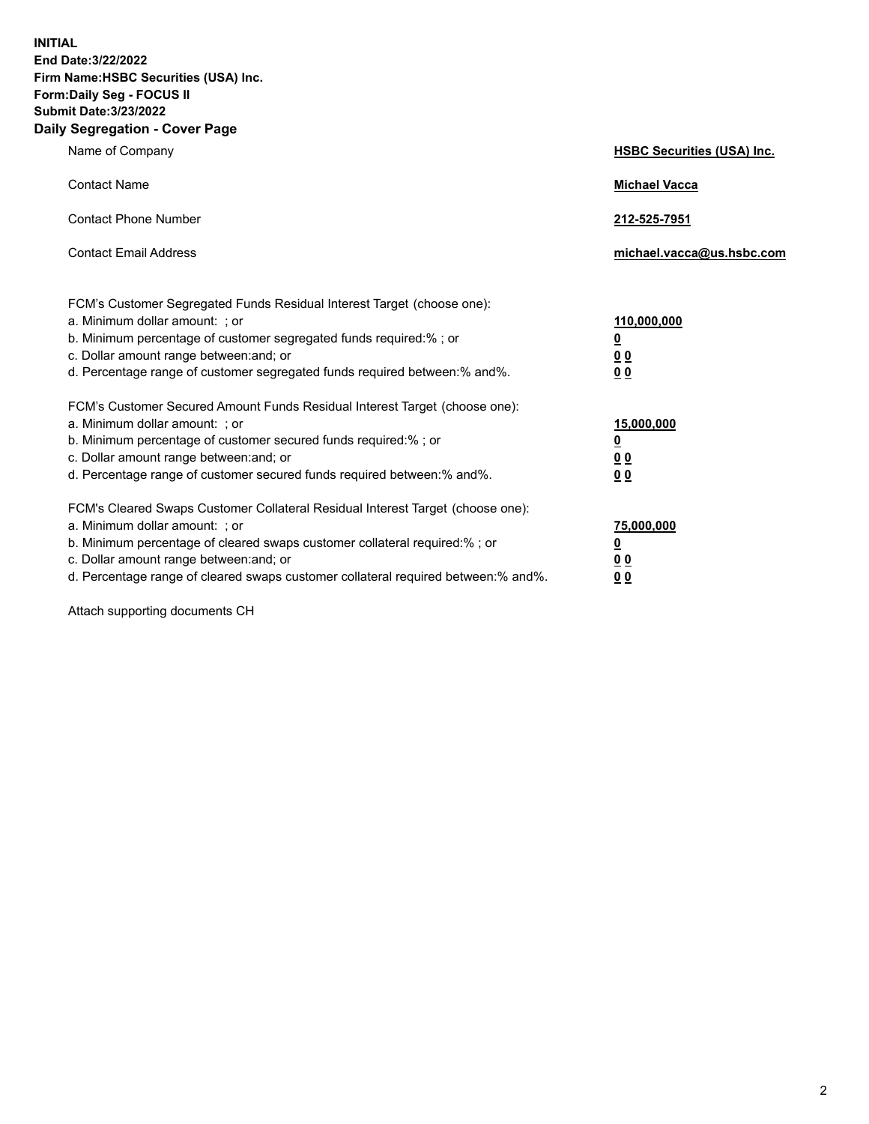**INITIAL End Date:3/22/2022 Firm Name:HSBC Securities (USA) Inc. Form:Daily Seg - FOCUS II Submit Date:3/23/2022 Daily Segregation - Cover Page**

| Name of Company                                                                                                                                                                                                                                                                                                                | <b>HSBC Securities (USA) Inc.</b>                              |
|--------------------------------------------------------------------------------------------------------------------------------------------------------------------------------------------------------------------------------------------------------------------------------------------------------------------------------|----------------------------------------------------------------|
| <b>Contact Name</b>                                                                                                                                                                                                                                                                                                            | <b>Michael Vacca</b>                                           |
| <b>Contact Phone Number</b>                                                                                                                                                                                                                                                                                                    | 212-525-7951                                                   |
| <b>Contact Email Address</b>                                                                                                                                                                                                                                                                                                   | michael.vacca@us.hsbc.com                                      |
| FCM's Customer Segregated Funds Residual Interest Target (choose one):<br>a. Minimum dollar amount: ; or<br>b. Minimum percentage of customer segregated funds required:%; or<br>c. Dollar amount range between: and; or<br>d. Percentage range of customer segregated funds required between:% and%.                          | 110,000,000<br>$\overline{\mathbf{0}}$<br>0 <sub>0</sub><br>00 |
| FCM's Customer Secured Amount Funds Residual Interest Target (choose one):<br>a. Minimum dollar amount: ; or<br>b. Minimum percentage of customer secured funds required:%; or<br>c. Dollar amount range between: and; or<br>d. Percentage range of customer secured funds required between:% and%.                            | 15,000,000<br><u>0</u><br>0 <sub>0</sub><br>00                 |
| FCM's Cleared Swaps Customer Collateral Residual Interest Target (choose one):<br>a. Minimum dollar amount: ; or<br>b. Minimum percentage of cleared swaps customer collateral required:% ; or<br>c. Dollar amount range between: and; or<br>d. Percentage range of cleared swaps customer collateral required between:% and%. | 75,000,000<br><u>0</u><br><u>00</u><br>00                      |

Attach supporting documents CH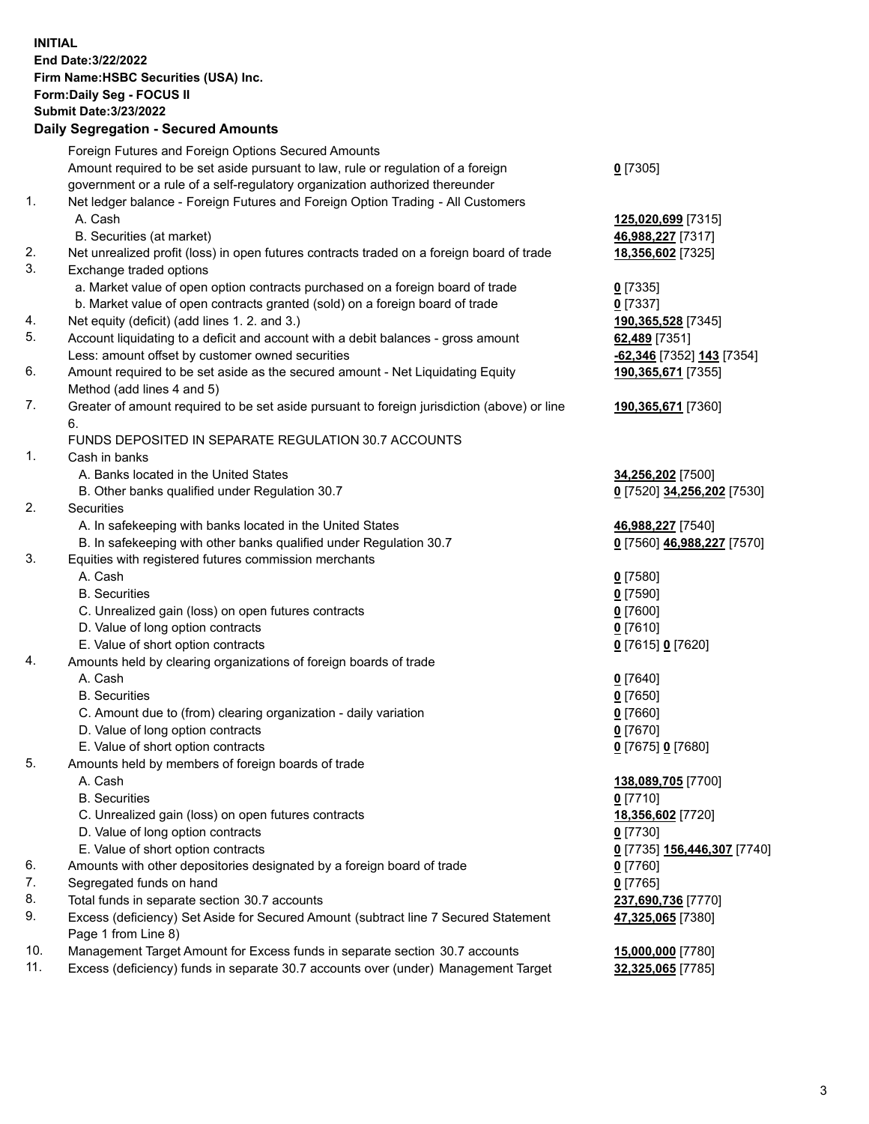**INITIAL End Date:3/22/2022 Firm Name:HSBC Securities (USA) Inc. Form:Daily Seg - FOCUS II Submit Date:3/23/2022 Daily Segregation - Secured Amounts** Foreign Futures and Foreign Options Secured Amounts Amount required to be set aside pursuant to law, rule or regulation of a foreign government or a rule of a self-regulatory organization authorized thereunder **0** [7305] 1. Net ledger balance - Foreign Futures and Foreign Option Trading - All Customers A. Cash **125,020,699** [7315] B. Securities (at market) **46,988,227** [7317] 2. Net unrealized profit (loss) in open futures contracts traded on a foreign board of trade **18,356,602** [7325] 3. Exchange traded options a. Market value of open option contracts purchased on a foreign board of trade **0** [7335] b. Market value of open contracts granted (sold) on a foreign board of trade **0** [7337] 4. Net equity (deficit) (add lines 1. 2. and 3.) **190,365,528** [7345] 5. Account liquidating to a deficit and account with a debit balances - gross amount **62,489** [7351] Less: amount offset by customer owned securities **-62,346** [7352] **143** [7354] 6. Amount required to be set aside as the secured amount - Net Liquidating Equity Method (add lines 4 and 5) **190,365,671** [7355] 7. Greater of amount required to be set aside pursuant to foreign jurisdiction (above) or line 6. **190,365,671** [7360] FUNDS DEPOSITED IN SEPARATE REGULATION 30.7 ACCOUNTS 1. Cash in banks A. Banks located in the United States **34,256,202** [7500] B. Other banks qualified under Regulation 30.7 **0** [7520] **34,256,202** [7530] 2. Securities A. In safekeeping with banks located in the United States **46,988,227** [7540] B. In safekeeping with other banks qualified under Regulation 30.7 **0** [7560] **46,988,227** [7570] 3. Equities with registered futures commission merchants A. Cash **0** [7580] B. Securities **0** [7590] C. Unrealized gain (loss) on open futures contracts **0** [7600] D. Value of long option contracts **0** [7610] E. Value of short option contracts **0** [7615] **0** [7620] 4. Amounts held by clearing organizations of foreign boards of trade A. Cash **0** [7640] B. Securities **0** [7650] C. Amount due to (from) clearing organization - daily variation **0** [7660] D. Value of long option contracts **0** [7670] E. Value of short option contracts **0** [7675] **0** [7680] 5. Amounts held by members of foreign boards of trade A. Cash **138,089,705** [7700] B. Securities **0** [7710] C. Unrealized gain (loss) on open futures contracts **18,356,602** [7720] D. Value of long option contracts **0** [7730] E. Value of short option contracts **0** [7735] **156,446,307** [7740] 6. Amounts with other depositories designated by a foreign board of trade **0** [7760] 7. Segregated funds on hand **0** [7765] 8. Total funds in separate section 30.7 accounts **237,690,736** [7770] 9. Excess (deficiency) Set Aside for Secured Amount (subtract line 7 Secured Statement Page 1 from Line 8) **47,325,065** [7380]

10. Management Target Amount for Excess funds in separate section 30.7 accounts **15,000,000** [7780]

11. Excess (deficiency) funds in separate 30.7 accounts over (under) Management Target **32,325,065** [7785]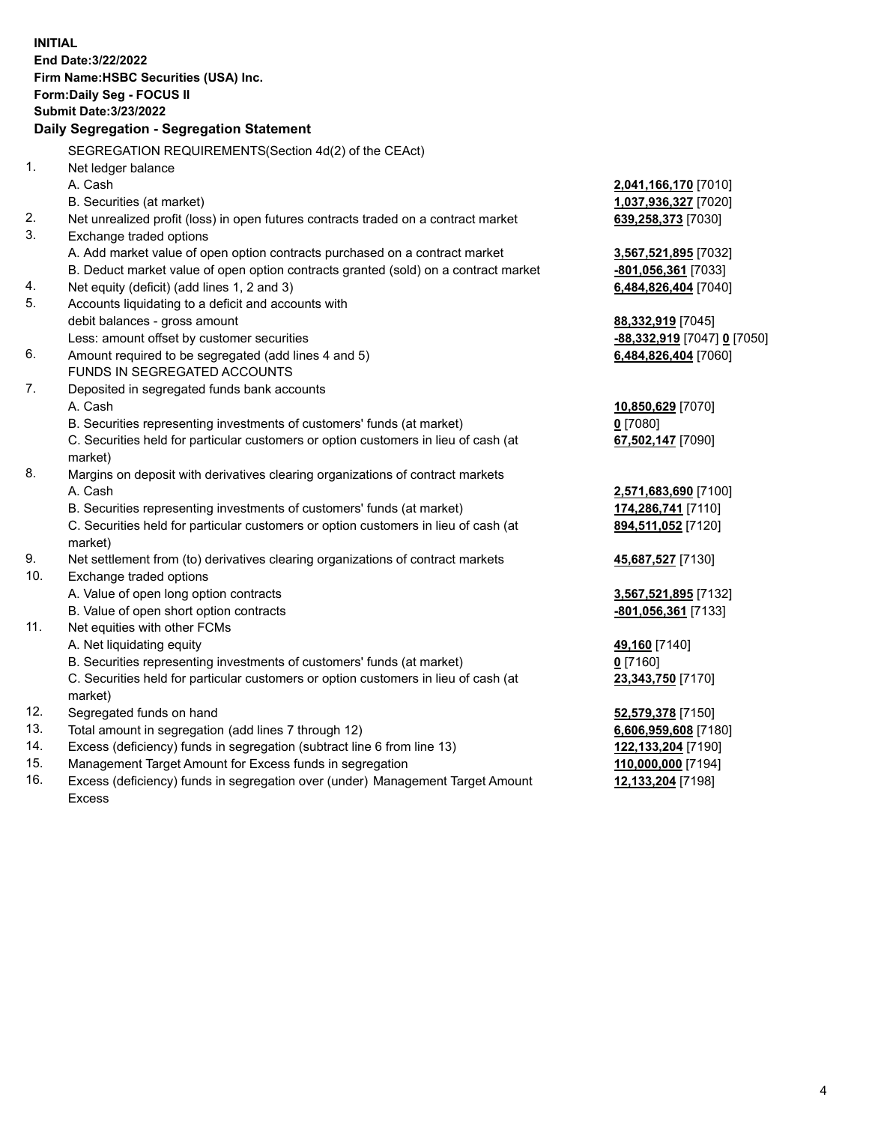**INITIAL End Date:3/22/2022 Firm Name:HSBC Securities (USA) Inc. Form:Daily Seg - FOCUS II Submit Date:3/23/2022 Daily Segregation - Segregation Statement** SEGREGATION REQUIREMENTS(Section 4d(2) of the CEAct) 1. Net ledger balance A. Cash **2,041,166,170** [7010] B. Securities (at market) **1,037,936,327** [7020] 2. Net unrealized profit (loss) in open futures contracts traded on a contract market **639,258,373** [7030] 3. Exchange traded options A. Add market value of open option contracts purchased on a contract market **3,567,521,895** [7032] B. Deduct market value of open option contracts granted (sold) on a contract market **-801,056,361** [7033] 4. Net equity (deficit) (add lines 1, 2 and 3) **6,484,826,404** [7040] 5. Accounts liquidating to a deficit and accounts with debit balances - gross amount **88,332,919** [7045] Less: amount offset by customer securities **-88,332,919** [7047] **0** [7050] 6. Amount required to be segregated (add lines 4 and 5) **6,484,826,404** [7060] FUNDS IN SEGREGATED ACCOUNTS 7. Deposited in segregated funds bank accounts A. Cash **10,850,629** [7070] B. Securities representing investments of customers' funds (at market) **0** [7080] C. Securities held for particular customers or option customers in lieu of cash (at market) **67,502,147** [7090] 8. Margins on deposit with derivatives clearing organizations of contract markets A. Cash **2,571,683,690** [7100] B. Securities representing investments of customers' funds (at market) **174,286,741** [7110] C. Securities held for particular customers or option customers in lieu of cash (at market) **894,511,052** [7120] 9. Net settlement from (to) derivatives clearing organizations of contract markets **45,687,527** [7130] 10. Exchange traded options A. Value of open long option contracts **3,567,521,895** [7132] B. Value of open short option contracts **-801,056,361** [7133] 11. Net equities with other FCMs A. Net liquidating equity **49,160** [7140] B. Securities representing investments of customers' funds (at market) **0** [7160] C. Securities held for particular customers or option customers in lieu of cash (at market) **23,343,750** [7170] 12. Segregated funds on hand **52,579,378** [7150] 13. Total amount in segregation (add lines 7 through 12) **6,606,959,608** [7180] 14. Excess (deficiency) funds in segregation (subtract line 6 from line 13) **122,133,204** [7190] 15. Management Target Amount for Excess funds in segregation **110,000,000** [7194]

16. Excess (deficiency) funds in segregation over (under) Management Target Amount Excess

**12,133,204** [7198]